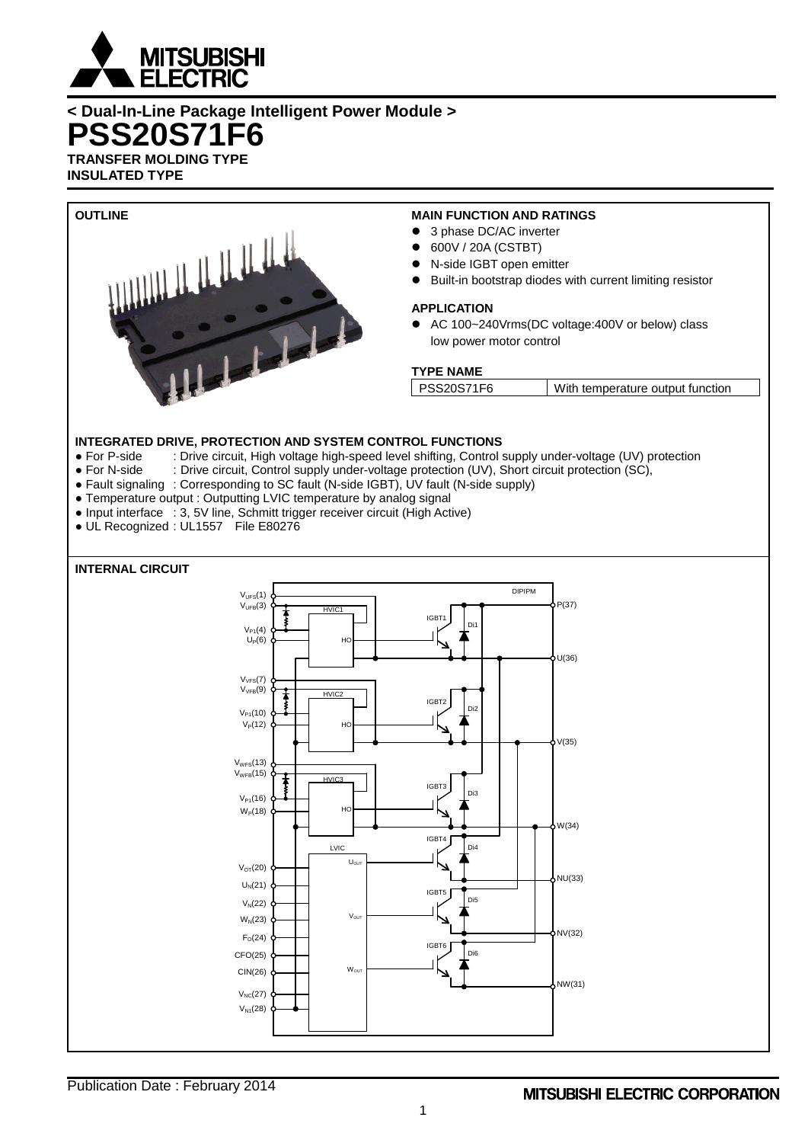

**< Dual-In-Line Package Intelligent Power Module > PSS20S71F6 TRANSFER MOLDING TYPE**

**INSULATED TYPE**



- For P-side : Drive circuit, High voltage high-speed level shifting, Control supply under-voltage (UV) protection<br>● For N-side : Drive circuit. Control supply under-voltage protection (UV). Short circuit protection (SC).
- : Drive circuit, Control supply under-voltage protection (UV), Short circuit protection (SC),
- Fault signaling : Corresponding to SC fault (N-side IGBT), UV fault (N-side supply)
- Temperature output : Outputting LVIC temperature by analog signal
- Input interface : 3, 5V line, Schmitt trigger receiver circuit (High Active)
- UL Recognized : UL1557 File E80276

# **INTERNAL CIRCUIT**

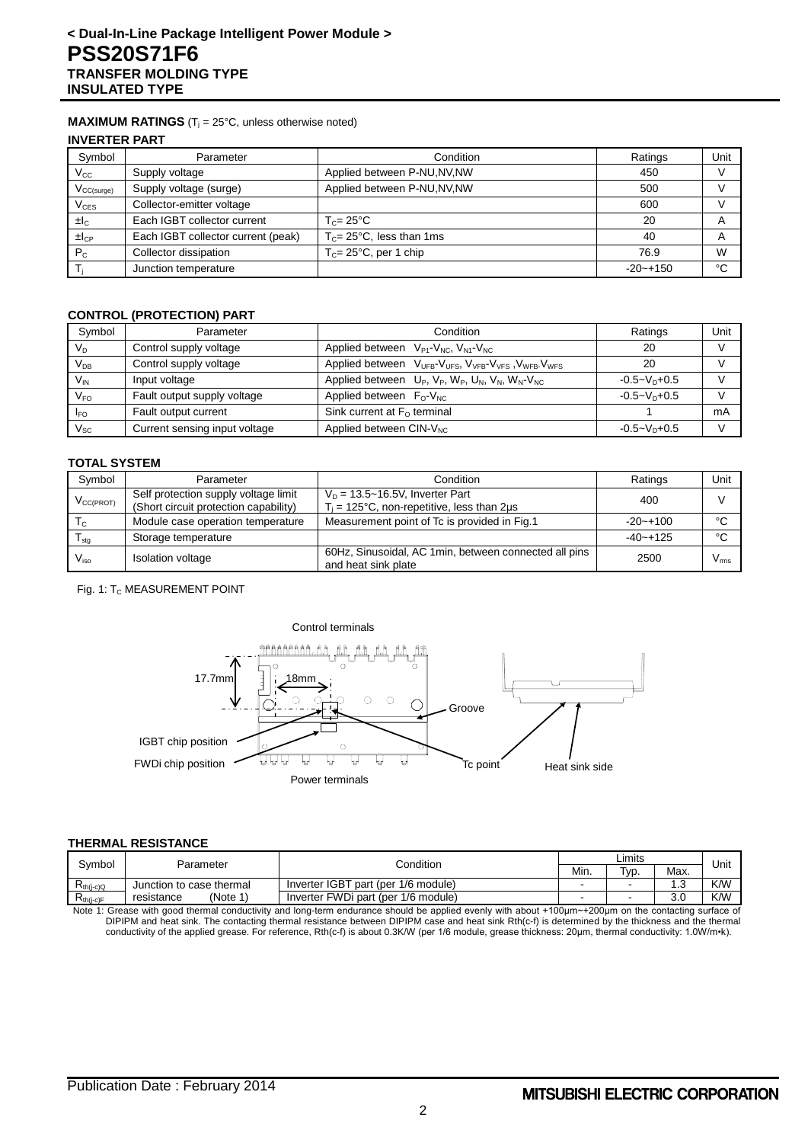### **MAXIMUM RATINGS** ( $T_i = 25^\circ C$ , unless otherwise noted)

**INVERTER PART**

| Symbol              | Parameter                          | Condition                           | Ratings      | Unit                    |
|---------------------|------------------------------------|-------------------------------------|--------------|-------------------------|
| $V_{\rm CC}$        | Supply voltage                     | Applied between P-NU, NV, NW        | 450          |                         |
| $V_{CC(surge)}$     | Supply voltage (surge)             | Applied between P-NU, NV, NW        | 500          |                         |
| $V_{CES}$           | Collector-emitter voltage          |                                     | 600          |                         |
| ±lc                 | Each IGBT collector current        | $T_c = 25^{\circ}$ C                | 20           | $\overline{\mathsf{A}}$ |
| $\pm$ <sub>cP</sub> | Each IGBT collector current (peak) | $T_c = 25^{\circ}$ C, less than 1ms | 40           | $\overline{A}$          |
| $P_{C}$             | Collector dissipation              | $T_c = 25^{\circ}$ C, per 1 chip    | 76.9         | W                       |
|                     | Junction temperature               |                                     | $-20 - +150$ | °C                      |

### **CONTROL (PROTECTION) PART**

| Symbol                     | Parameter                     | Ratings<br>Condition                                                     |                 |    |  |
|----------------------------|-------------------------------|--------------------------------------------------------------------------|-----------------|----|--|
| $V_D$                      | Control supply voltage        | Applied between $V_{P1}$ - $V_{NC}$ , $V_{N1}$ - $V_{NC}$                | 20              |    |  |
| $V_{DB}$                   | Control supply voltage        | Applied between VUFB-VUFS, VVFB-VVFS, VWFB-VWFS                          | 20              |    |  |
| $V_{IN}$                   | Input voltage                 | Applied between $U_P$ , $V_P$ , $W_P$ , $U_N$ , $V_N$ , $W_N$ - $V_{NC}$ | $-0.5 - VD+0.5$ |    |  |
| V <sub>FO</sub>            | Fault output supply voltage   | Applied between $F_0$ -V <sub>NC</sub>                                   | $-0.5 - VD+0.5$ |    |  |
| <b>I<sub>FO</sub></b>      | Fault output current          | Sink current at $F_0$ terminal                                           |                 | mA |  |
| $\mathsf{V}_{\mathsf{SC}}$ | Current sensing input voltage | Applied between $CIN-VNC$                                                | $-0.5 - VD+0.5$ |    |  |

#### **TOTAL SYSTEM**

| Symbol                     | Parameter                                                                     | Condition                                                                                  | Ratings      | Unit          |
|----------------------------|-------------------------------------------------------------------------------|--------------------------------------------------------------------------------------------|--------------|---------------|
| $V_{CC(PROT)}$             | Self protection supply voltage limit<br>(Short circuit protection capability) | $V_D = 13.5 - 16.5V$ , Inverter Part<br>$T_i$ = 125°C, non-repetitive, less than 2 $\mu$ s | 400          |               |
| $T_{c}$                    | Module case operation temperature                                             | Measurement point of Tc is provided in Fig.1                                               | $-20 - +100$ | °೧            |
| ${\mathsf T}_{\text{stg}}$ | Storage temperature                                                           |                                                                                            | $-40 - +125$ | °€            |
| $V_{\rm iso}$              | <b>Isolation voltage</b>                                                      | 60Hz, Sinusoidal, AC 1min, between connected all pins<br>and heat sink plate               | 2500         | $V_{\rm rms}$ |

Fig. 1: T<sub>C</sub> MEASUREMENT POINT



#### **THERMAL RESISTANCE**

| Svmbol<br>Parameter                                                                                                                                  |                          | Condition                           |  | ∟imits |            |            |
|------------------------------------------------------------------------------------------------------------------------------------------------------|--------------------------|-------------------------------------|--|--------|------------|------------|
|                                                                                                                                                      |                          |                                     |  | Tvp.   | Max.       | Unit       |
| $R_{th(i-c)Q}$                                                                                                                                       | Junction to case thermal | Inverter IGBT part (per 1/6 module) |  | -      | $\sqrt{2}$ | <b>K/W</b> |
| $R_{th(i-c)F}$                                                                                                                                       | (Note 1)<br>resistance   | Inverter FWDi part (per 1/6 module) |  | -      | 3.0        | K/W        |
| Note 4: Crosse with good thormal conductivity and long term and users abould be applied symptomity about 1400 un 1900 un an the contesting sympactic |                          |                                     |  |        |            |            |

Note 1: Grease with good thermal conductivity and long-term endurance should be applied evenly with about +100μm~+200μm on the contacting surface of DIPIPM and heat sink. The contacting thermal resistance between DIPIPM case and heat sink Rth(c-f) is determined by the thickness and the thermal conductivity of the applied grease. For reference, Rth(c-f) is about 0.3K/W (per 1/6 module, grease thickness: 20μm, thermal conductivity: 1.0W/m•k).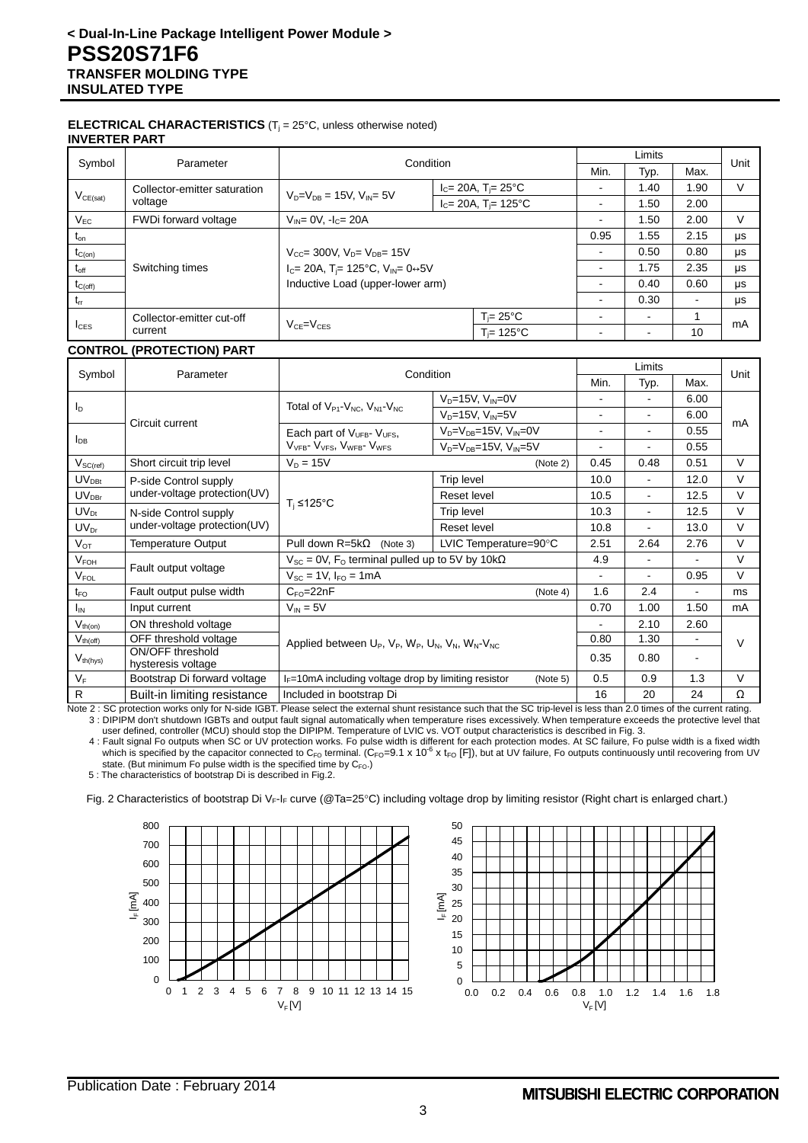#### **ELECTRICAL CHARACTERISTICS** (T<sub>j</sub> = 25°C, unless otherwise noted) **INVERTER PART**

| Symbol           | Parameter                    | Condition                                                    |                                                  | Limits                   |                          | Unit |         |
|------------------|------------------------------|--------------------------------------------------------------|--------------------------------------------------|--------------------------|--------------------------|------|---------|
|                  |                              |                                                              |                                                  |                          | Typ.                     | Max. |         |
|                  | Collector-emitter saturation | $V_{D} = V_{DB} = 15V$ . $V_{ID} = 5V$                       | $I_c = 20A$ , T <sub>i</sub> = 25 <sup>°</sup> C | ۰                        | 1.40                     | 1.90 | v       |
| $V_{CE(sat)}$    | voltage                      |                                                              | $I_c = 20A$ , T <sub>i</sub> = 125°C             | -                        | l.50                     | 2.00 |         |
| $V_{EC}$         | FWDi forward voltage         | $V_{IN} = 0V$ , $-I_C = 20A$                                 |                                                  |                          | 1.50                     | 2.00 | V       |
| $t_{\text{on}}$  |                              |                                                              |                                                  | 0.95                     | 1.55                     | 2.15 | μs      |
| $t_{C(on)}$      |                              | $V_{CC}$ = 300V, $V_{D}$ = $V_{DB}$ = 15V                    |                                                  | $\sim$                   | 0.50                     | 0.80 | μs      |
| $t_{\text{off}}$ | Switching times              | $I_C = 20A$ , T <sub>j</sub> = 125°C, V <sub>IN</sub> = 0↔5V |                                                  | ۰                        | 1.75                     | 2.35 | μs      |
| $t_{C(off)}$     |                              | Inductive Load (upper-lower arm)                             |                                                  | $\overline{\phantom{0}}$ | 0.40                     | 0.60 | $\mu s$ |
| $t_{rr}$         |                              |                                                              |                                                  | ۰                        | 0.30                     |      | μs      |
|                  | Collector-emitter cut-off    |                                                              | $T = 25^{\circ}C$                                | -                        | $\overline{\phantom{a}}$ |      | mA      |
| $I_{CES}$        | current                      | $V_{CE} = V_{CES}$<br>$T = 125^{\circ}C$                     |                                                  |                          | 10                       |      |         |

## **CONTROL (PROTECTION) PART**

|                                 |                                        | Condition                                                                    |                                      |                | Limits         |                |        |  |
|---------------------------------|----------------------------------------|------------------------------------------------------------------------------|--------------------------------------|----------------|----------------|----------------|--------|--|
| Symbol                          | Parameter                              |                                                                              |                                      | Min.           | Typ.           | Max.           | Unit   |  |
|                                 |                                        | Total of V <sub>P1</sub> -V <sub>NC</sub> , V <sub>N1</sub> -V <sub>NC</sub> | $V_D = 15V$ , $V_N = 0V$             |                |                | 6.00           |        |  |
| $I_{\text{D}}$                  | Circuit current                        |                                                                              | $V_D=15V$ , $V_{IN}=5V$              | ۰              |                | 6.00           | mA     |  |
|                                 |                                        | Each part of $V_{UFB}$ - $V_{UFS}$ ,                                         | $V_D = V_{DB} = 15V$ , $V_{IN} = 0V$ | $\blacksquare$ | $\blacksquare$ | 0.55           |        |  |
| $I_{DB}$                        |                                        | V <sub>VEB</sub> - V <sub>VES</sub> , V <sub>WEB</sub> - V <sub>WES</sub>    | $V_D = V_{DB} = 15V$ , $V_{IN} = 5V$ | ۰              |                | 0.55           |        |  |
| $V_{\mathsf{SC}(\mathsf{ref})}$ | Short circuit trip level               | $V_D = 15V$                                                                  | (Note 2)                             | 0.45           | 0.48           | 0.51           | $\vee$ |  |
| $UV_{\text{DBt}}$               | P-side Control supply                  |                                                                              | Trip level                           | 10.0           | $\blacksquare$ | 12.0           | $\vee$ |  |
| $UV_{DBr}$                      | under-voltage protection(UV)           | $T_i$ ≤125°C                                                                 | Reset level                          | 10.5           | $\blacksquare$ | 12.5           | $\vee$ |  |
| $UV_{Dt}$                       | N-side Control supply                  |                                                                              | Trip level                           | 10.3           | $\blacksquare$ | 12.5           | $\vee$ |  |
| $UV_{Dr}$                       | under-voltage protection(UV)           |                                                                              | <b>Reset level</b>                   | 10.8           |                | 13.0           | $\vee$ |  |
| $V_{OT}$                        | Temperature Output                     | Pull down $R = 5k\Omega$<br>(Note 3)                                         | LVIC Temperature=90°C                | 2.51           | 2.64           | 2.76           | $\vee$ |  |
| V <sub>FOH</sub>                |                                        | $V_{SC}$ = 0V, F <sub>o</sub> terminal pulled up to 5V by 10k $\Omega$       |                                      | 4.9            | $\blacksquare$ |                | $\vee$ |  |
| $V_{FOL}$                       | Fault output voltage                   | $V_{SC}$ = 1V, $I_{FO}$ = 1mA                                                |                                      | $\blacksquare$ | $\blacksquare$ | 0.95           | $\vee$ |  |
| $t_{\text{FO}}$                 | Fault output pulse width               | $C_{FO} = 22nF$                                                              | (Note 4)                             | 1.6            | 2.4            |                | ms     |  |
| $I_{IN}$                        | Input current                          | $V_{IN} = 5V$                                                                |                                      | 0.70           | 1.00           | 1.50           | mA     |  |
| $V_{th(\underline{on})}$        | ON threshold voltage                   |                                                                              |                                      |                | 2.10           | 2.60           |        |  |
| $\overline{V}_{th(\text{off})}$ | OFF threshold voltage                  | Applied between $U_P$ , $V_P$ , $W_P$ , $U_N$ , $V_N$ , $W_N$ - $V_{NC}$     |                                      | 0.80           | 1.30           | $\blacksquare$ | $\vee$ |  |
| $V_{th(hys)}$                   | ON/OFF threshold<br>hysteresis voltage |                                                                              |                                      | 0.35           | 0.80           |                |        |  |
| $V_F$                           | Bootstrap Di forward voltage           | $I_F$ =10mA including voltage drop by limiting resistor<br>(Note 5)          |                                      |                | 0.9            | 1.3            | $\vee$ |  |
| $\mathsf{R}$                    | Built-in limiting resistance           | Included in bootstrap Di                                                     |                                      | 16             | 20             | 24             | Ω      |  |

Note 2 : SC protection works only for N-side IGBT. Please select the external shunt resistance such that the SC trip-level is less than 2.0 times of the current rating. 3 : DIPIPM don't shutdown IGBTs and output fault signal automatically when temperature rises excessively. When temperature exceeds the protective level that user defined, controller (MCU) should stop the DIPIPM. Temperature of LVIC vs. VOT output characteristics is described in Fig. 3.

4 : Fault signal Fo outputs when SC or UV protection works. Fo pulse width is different for each protection modes. At SC failure, Fo pulse width is a fixed width<br>which is specified by the capacitor connected to C<sub>FO</sub> term state. (But minimum Fo pulse width is the specified time by CFO.)

5 : The characteristics of bootstrap Di is described in Fig.2.

Fig. 2 Characteristics of bootstrap Di V<sub>F-IF</sub> curve (@Ta=25°C) including voltage drop by limiting resistor (Right chart is enlarged chart.)



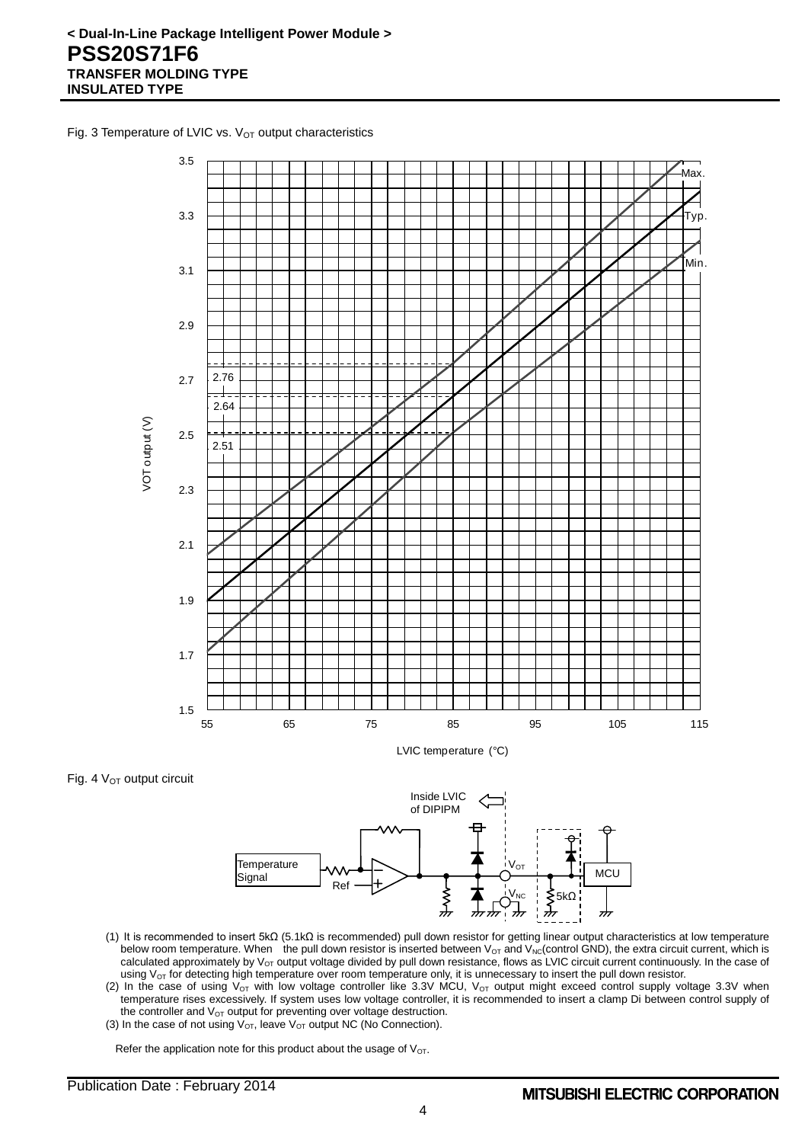Fig. 3 Temperature of LVIC vs.  $V<sub>OT</sub>$  output characteristics



Fig. 4  $V<sub>OT</sub>$  output circuit



- (1) It is recommended to insert 5kΩ (5.1kΩ is recommended) pull down resistor for getting linear output characteristics at low temperature below room temperature. When the pull down resistor is inserted between  $V_{OT}$  and  $V_{NC}$  (control GND), the extra circuit current, which is calculated approximately by  $V_{OT}$  output voltage divided by pull down resistance, flows as LVIC circuit current continuously. In the case of using  $V_{OT}$  for detecting high temperature over room temperature only, it is unnecessary to insert the pull down resistor.
- (2) In the case of using  $V_{OT}$  with low voltage controller like 3.3V MCU,  $V_{OT}$  output might exceed control supply voltage 3.3V when temperature rises excessively. If system uses low voltage controller, it is recommended to insert a clamp Di between control supply of the controller and  $V_{OT}$  output for preventing over voltage destruction.
- (3) In the case of not using  $V_{OT}$ , leave  $V_{OT}$  output NC (No Connection).

Refer the application note for this product about the usage of  $V_{OT}$ .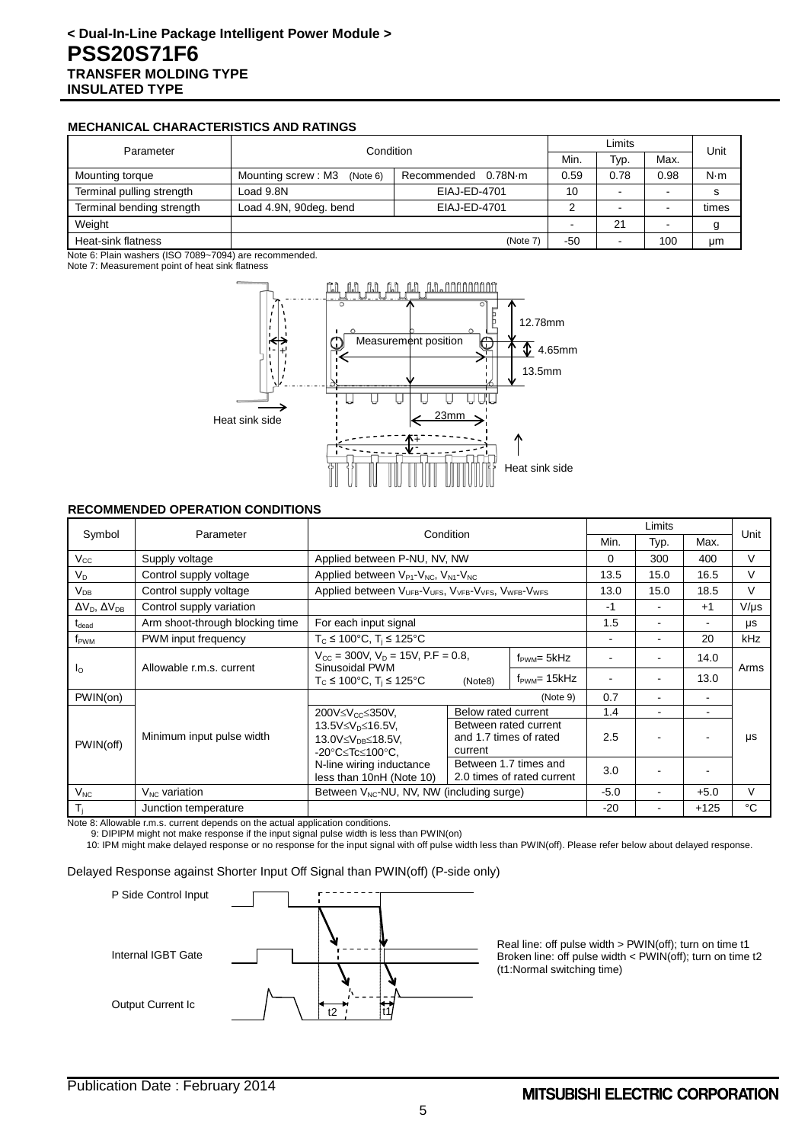## **MECHANICAL CHARACTERISTICS AND RATINGS**

| Parameter                 | Condition                      |                        | Limits |      |      | Unit        |
|---------------------------|--------------------------------|------------------------|--------|------|------|-------------|
|                           |                                |                        |        | Typ. | Max. |             |
| Mounting torque           | Mounting screw: M3<br>(Note 6) | 0.78N·m<br>Recommended | 0.59   | 0.78 | 0.98 | $N \cdot m$ |
| Terminal pulling strength | Load 9.8N                      | EIAJ-ED-4701           | 10     | -    |      |             |
| Terminal bending strength | Load 4.9N, 90deg. bend         | EIAJ-ED-4701           |        | -    |      | times       |
| Weight                    |                                |                        |        | 21   |      |             |
| Heat-sink flatness        | (Note 7)                       |                        | $-50$  | -    | 100  | μm          |

Note 6: Plain washers (ISO 7089~7094) are recommended.

Note 7: Measurement point of heat sink flatness



#### **RECOMMENDED OPERATION CONDITIONS**

| Symbol<br>Parameter            |                                 | Condition                                                                                                                                      |                                     | Limits         |          |                         | Unit                     |           |      |      |
|--------------------------------|---------------------------------|------------------------------------------------------------------------------------------------------------------------------------------------|-------------------------------------|----------------|----------|-------------------------|--------------------------|-----------|------|------|
|                                |                                 |                                                                                                                                                |                                     |                |          | Typ.                    | Max.                     |           |      |      |
| $V_{\rm CC}$                   | Supply voltage                  | Applied between P-NU, NV, NW                                                                                                                   |                                     |                | $\Omega$ | 300                     | 400                      | $\vee$    |      |      |
| $V_D$                          | Control supply voltage          | Applied between $V_{P1}$ - $V_{NC}$ , $V_{N1}$ - $V_{NC}$                                                                                      |                                     |                | 13.5     | 15.0                    | 16.5                     | V         |      |      |
| $V_{DB}$                       | Control supply voltage          | Applied between V <sub>UFB</sub> -V <sub>UFS</sub> , V <sub>VFB</sub> -V <sub>VFS</sub> , V <sub>WFB</sub> -V <sub>WFS</sub>                   |                                     |                | 13.0     | 15.0                    | 18.5                     | $\vee$    |      |      |
| $\Delta V_D$ , $\Delta V_{DB}$ | Control supply variation        |                                                                                                                                                |                                     |                | -1       | ٠                       | $+1$                     | $V/\mu s$ |      |      |
| t <sub>dead</sub>              | Arm shoot-through blocking time | For each input signal                                                                                                                          |                                     |                | 1.5      | ۰                       | $\overline{\phantom{a}}$ | μs        |      |      |
| f <sub>PWM</sub>               | PWM input frequency             | $T_c \le 100^{\circ}$ C, $T_i \le 125^{\circ}$ C                                                                                               |                                     |                |          | ۰                       | 20                       | kHz       |      |      |
|                                | Allowable r.m.s. current        | $V_{\text{CC}}$ = 300V, $V_{\text{D}}$ = 15V, P.F = 0.8,                                                                                       |                                     | Sinusoidal PWM |          | $f_{\text{PWM}} = 5kHz$ |                          |           | 14.0 | Arms |
| $I_{\Omega}$                   |                                 | $T_c$ ≤ 100°C, $T_i$ ≤ 125°C                                                                                                                   | $f_{\text{PWM}}$ = 15kHz<br>(Note8) |                |          |                         | 13.0                     |           |      |      |
| PWIN(on)                       |                                 |                                                                                                                                                |                                     | (Note 9)       | 0.7      |                         |                          |           |      |      |
|                                |                                 | 200V≤V <sub>cc</sub> ≤350V,                                                                                                                    | Below rated current                 |                | 1.4      | $\blacksquare$          | $\overline{\phantom{a}}$ |           |      |      |
| PWIN(off)                      | Minimum input pulse width       | Between rated current<br>13.5V≤V <sub>n</sub> ≤16.5V.<br>and 1.7 times of rated<br>13.0V≤V <sub>DB</sub> ≤18.5V,<br>current<br>-20°C≤Tc≤100°C. |                                     | 2.5            |          |                         | <b>US</b>                |           |      |      |
|                                |                                 | Between 1.7 times and<br>N-line wiring inductance<br>less than 10nH (Note 10)<br>2.0 times of rated current                                    |                                     | 3.0            |          |                         |                          |           |      |      |
| $V_{NC}$                       | $V_{NC}$ variation              | Between $V_{NC}$ -NU, NV, NW (including surge)                                                                                                 |                                     | $-5.0$         |          | $+5.0$                  | $\vee$                   |           |      |      |
| $T_i$                          | Junction temperature            |                                                                                                                                                |                                     |                | $-20$    |                         | $+125$                   | °C        |      |      |

Note 8: Allowable r.m.s. current depends on the actual application conditions.

9: DIPIPM might not make response if the input signal pulse width is less than PWIN(on)

10: IPM might make delayed response or no response for the input signal with off pulse width less than PWIN(off). Please refer below about delayed response.

Delayed Response against Shorter Input Off Signal than PWIN(off) (P-side only)



Real line: off pulse width > PWIN(off); turn on time t1 Broken line: off pulse width < PWIN(off); turn on time t2 (t1:Normal switching time)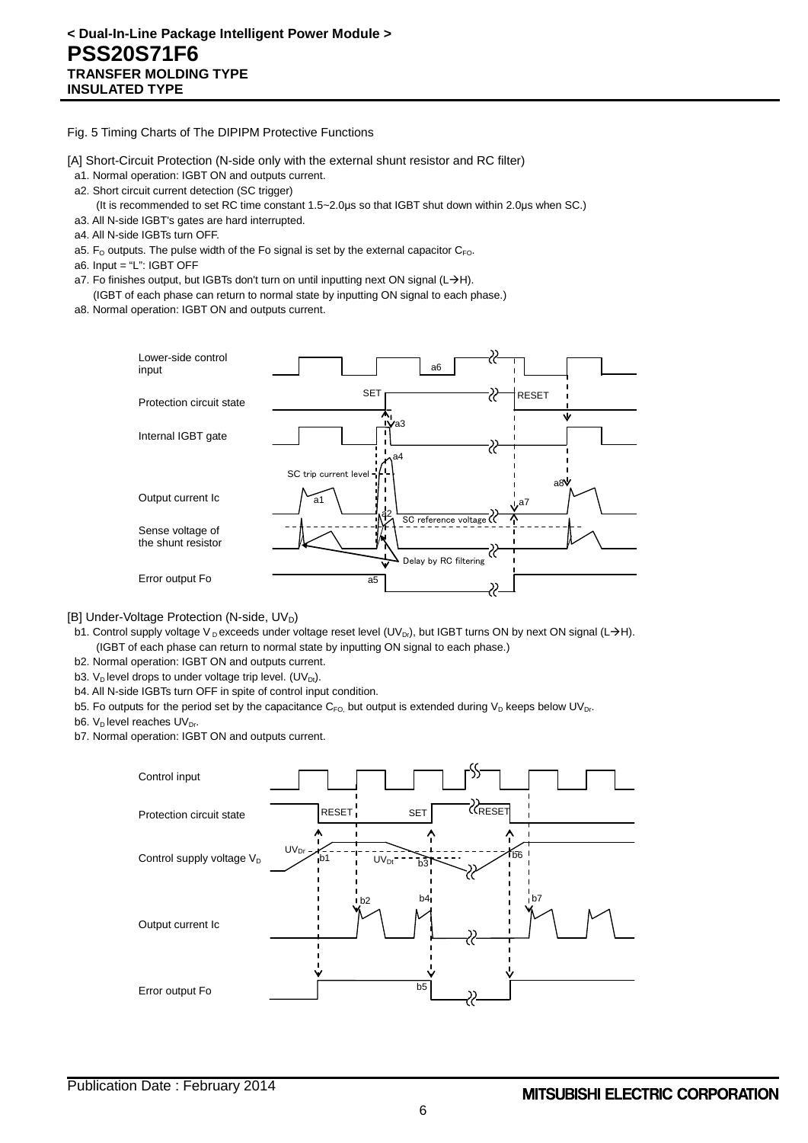Fig. 5 Timing Charts of The DIPIPM Protective Functions

[A] Short-Circuit Protection (N-side only with the external shunt resistor and RC filter)

- a1. Normal operation: IGBT ON and outputs current.
- a2. Short circuit current detection (SC trigger)
	- (It is recommended to set RC time constant 1.5~2.0μs so that IGBT shut down within 2.0μs when SC.)
- a3. All N-side IGBT's gates are hard interrupted.
- a4. All N-side IGBTs turn OFF.
- a5.  $F_{\rm O}$  outputs. The pulse width of the Fo signal is set by the external capacitor  $C_{F\rm O}$ .
- a6. Input = "L": IGBT OFF
- a7. Fo finishes output, but IGBTs don't turn on until inputting next ON signal (L $\rightarrow$ H).
- (IGBT of each phase can return to normal state by inputting ON signal to each phase.) a8. Normal operation: IGBT ON and outputs current.
	- Lower-side control a6 input SET **RESET** Protection circuit state Ú, a3 Internal IGBT gate a4 SC trip current level a8 Output current Ic a1 a7 a2 SC reference volta Sense voltage of the shunt resistor Delay by RC filtering Error output Fo a5
	-
- [B] Under-Voltage Protection (N-side, UV<sub>D</sub>)
- b1. Control supply voltage V D exceeds under voltage reset level (UV<sub>Dr</sub>), but IGBT turns ON by next ON signal (L $\rightarrow$ H). (IGBT of each phase can return to normal state by inputting ON signal to each phase.)
- b2. Normal operation: IGBT ON and outputs current.
- b3. V<sub>D</sub> level drops to under voltage trip level. (UV<sub>Dt</sub>).
- b4. All N-side IGBTs turn OFF in spite of control input condition.
- b5. Fo outputs for the period set by the capacitance  $C_{FO}$ , but output is extended during  $V_D$  keeps below UV<sub>Dr</sub>.
- b6.  $V_D$  level reaches  $UV_{Dr}$ .
- b7. Normal operation: IGBT ON and outputs current.

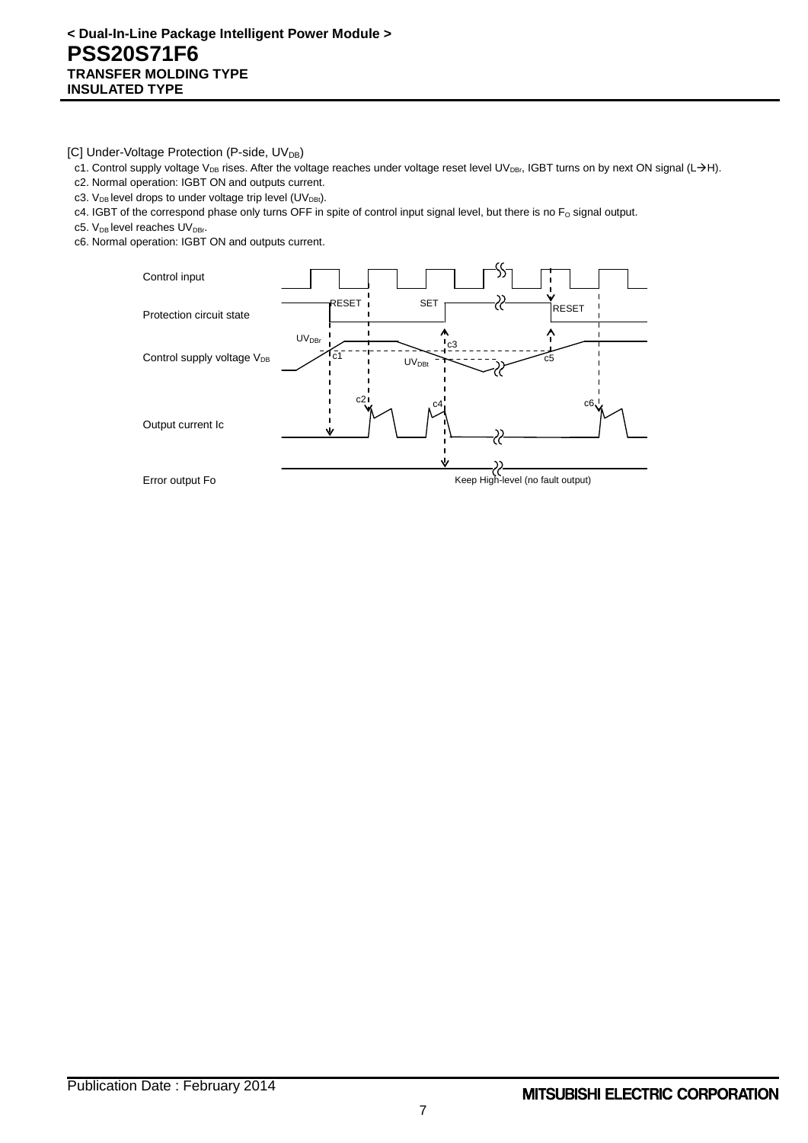[C] Under-Voltage Protection (P-side, UV<sub>DB</sub>)

- c1. Control supply voltage V<sub>DB</sub> rises. After the voltage reaches under voltage reset level UV<sub>DBr</sub>, IGBT turns on by next ON signal (L->H).
- c2. Normal operation: IGBT ON and outputs current.
- c3.  $V_{DB}$  level drops to under voltage trip level (UV<sub>DBt</sub>).
- c4. IGBT of the correspond phase only turns OFF in spite of control input signal level, but there is no  $F_0$  signal output.
- c5.  $V_{DB}$  level reaches  $UV_{DBr}$ .
- c6. Normal operation: IGBT ON and outputs current.

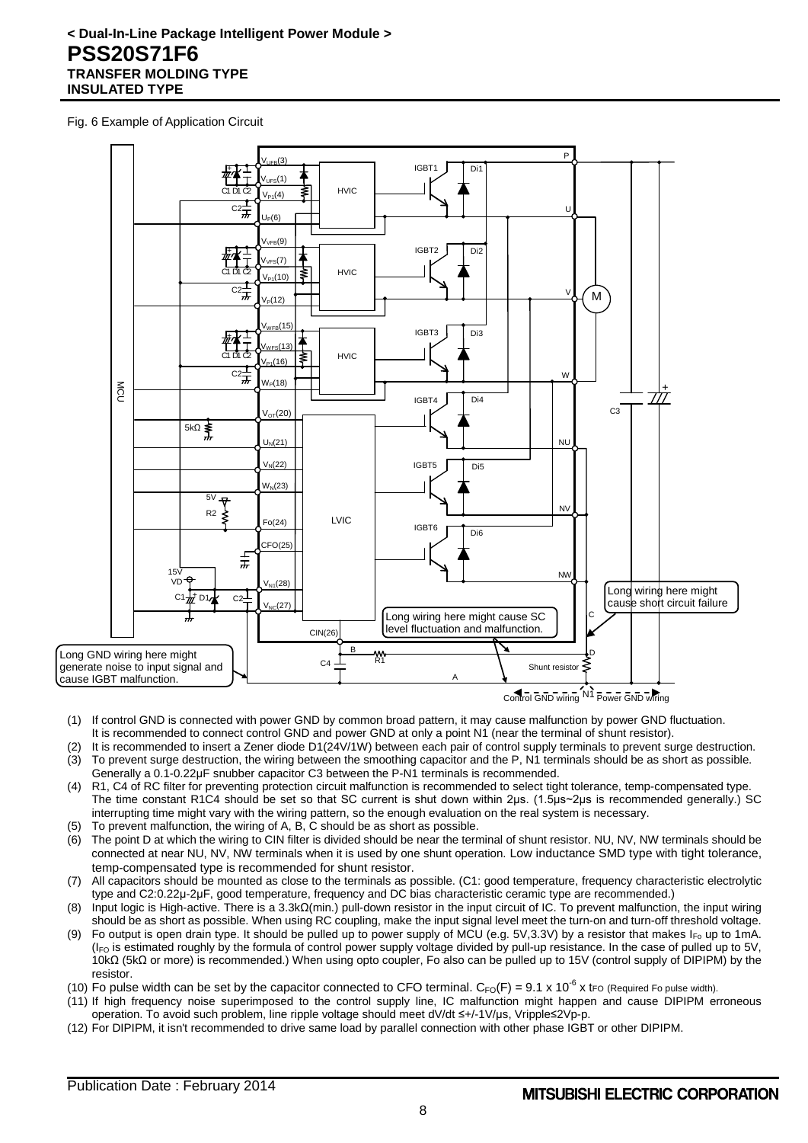## **< Dual-In-Line Package Intelligent Power Module > PSS20S71F6 TRANSFER MOLDING TYPE INSULATED TYPE**

Fig. 6 Example of Application Circuit



- (1) If control GND is connected with power GND by common broad pattern, it may cause malfunction by power GND fluctuation. It is recommended to connect control GND and power GND at only a point N1 (near the terminal of shunt resistor).
- (2) It is recommended to insert a Zener diode D1(24V/1W) between each pair of control supply terminals to prevent surge destruction. (3) To prevent surge destruction, the wiring between the smoothing capacitor and the P, N1 terminals should be as short as possible.
- Generally a 0.1-0.22μF snubber capacitor C3 between the P-N1 terminals is recommended. (4) R1, C4 of RC filter for preventing protection circuit malfunction is recommended to select tight tolerance, temp-compensated type. The time constant R1C4 should be set so that SC current is shut down within 2μs. (1.5μs~2μs is recommended generally.) SC interrupting time might vary with the wiring pattern, so the enough evaluation on the real system is necessary.
- (5) To prevent malfunction, the wiring of A, B, C should be as short as possible.
- (6) The point D at which the wiring to CIN filter is divided should be near the terminal of shunt resistor. NU, NV, NW terminals should be connected at near NU, NV, NW terminals when it is used by one shunt operation. Low inductance SMD type with tight tolerance, temp-compensated type is recommended for shunt resistor.
- (7) All capacitors should be mounted as close to the terminals as possible. (C1: good temperature, frequency characteristic electrolytic type and C2:0.22μ-2μF, good temperature, frequency and DC bias characteristic ceramic type are recommended.)
- (8) Input logic is High-active. There is a 3.3kΩ(min.) pull-down resistor in the input circuit of IC. To prevent malfunction, the input wiring should be as short as possible. When using RC coupling, make the input signal level meet the turn-on and turn-off threshold voltage.
- (9) Fo output is open drain type. It should be pulled up to power supply of MCU (e.g. 5V,3.3V) by a resistor that makes  $I_{F_0}$  up to 1mA. (I<sub>FO</sub> is estimated roughly by the formula of control power supply voltage divided by pull-up resistance. In the case of pulled up to 5V, 10kΩ (5kΩ or more) is recommended.) When using opto coupler, Fo also can be pulled up to 15V (control supply of DIPIPM) by the resistor.
- (10) Fo pulse width can be set by the capacitor connected to CFO terminal.  $C_{FO}(F) = 9.1 \times 10^{-6}$  x tro (Required Fo pulse width).
- (11) If high frequency noise superimposed to the control supply line, IC malfunction might happen and cause DIPIPM erroneous operation. To avoid such problem, line ripple voltage should meet dV/dt ≤+/-1V/μs, Vripple≤2Vp-p.
- (12) For DIPIPM, it isn't recommended to drive same load by parallel connection with other phase IGBT or other DIPIPM.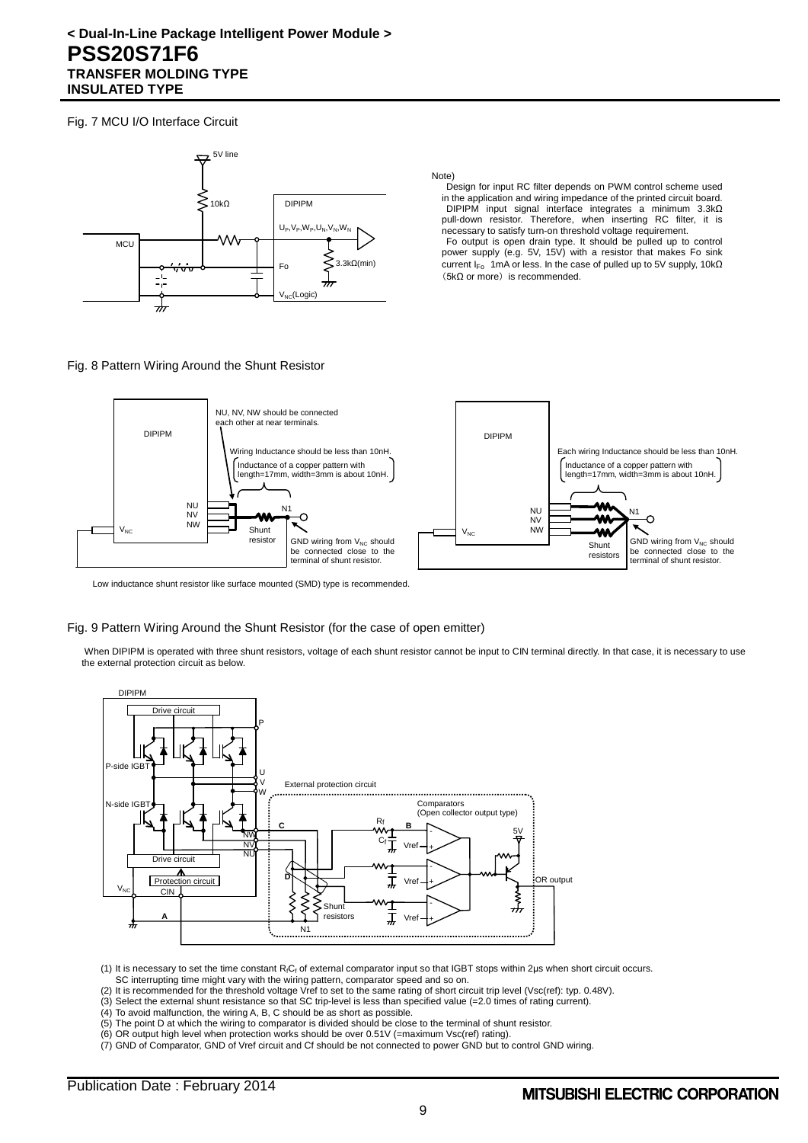## **< Dual-In-Line Package Intelligent Power Module > PSS20S71F6 TRANSFER MOLDING TYPE INSULATED TYPE**

Fig. 7 MCU I/O Interface Circuit



Note)

Design for input RC filter depends on PWM control scheme used in the application and wiring impedance of the printed circuit board. DIPIPM input signal interface integrates a minimum 3.3kΩ pull-down resistor. Therefore, when inserting RC filter, it is necessary to satisfy turn-on threshold voltage requirement.

Fo output is open drain type. It should be pulled up to control power supply (e.g. 5V, 15V) with a resistor that makes Fo sink current I<sub>Fo</sub> 1mA or less. In the case of pulled up to 5V supply, 10kΩ  $(5k\Omega$  or more) is recommended.

#### Fig. 8 Pattern Wiring Around the Shunt Resistor



Low inductance shunt resistor like surface mounted (SMD) type is recommended.

#### Fig. 9 Pattern Wiring Around the Shunt Resistor (for the case of open emitter)

When DIPIPM is operated with three shunt resistors, voltage of each shunt resistor cannot be input to CIN terminal directly. In that case, it is necessary to use the external protection circuit as below.



(1) It is necessary to set the time constant R<sub>fCf</sub> of external comparator input so that IGBT stops within 2μs when short circuit occurs. SC interrupting time might vary with the wiring pattern, comparator speed and so on.

(2) It is recommended for the threshold voltage Vref to set to the same rating of short circuit trip level (Vsc(ref): typ. 0.48V).

(3) Select the external shunt resistance so that SC trip-level is less than specified value (=2.0 times of rating current).

- (4) To avoid malfunction, the wiring A, B, C should be as short as possible.
- (5) The point D at which the wiring to comparator is divided should be close to the terminal of shunt resistor.
- (6) OR output high level when protection works should be over 0.51V (=maximum Vsc(ref) rating).

(7) GND of Comparator, GND of Vref circuit and Cf should be not connected to power GND but to control GND wiring.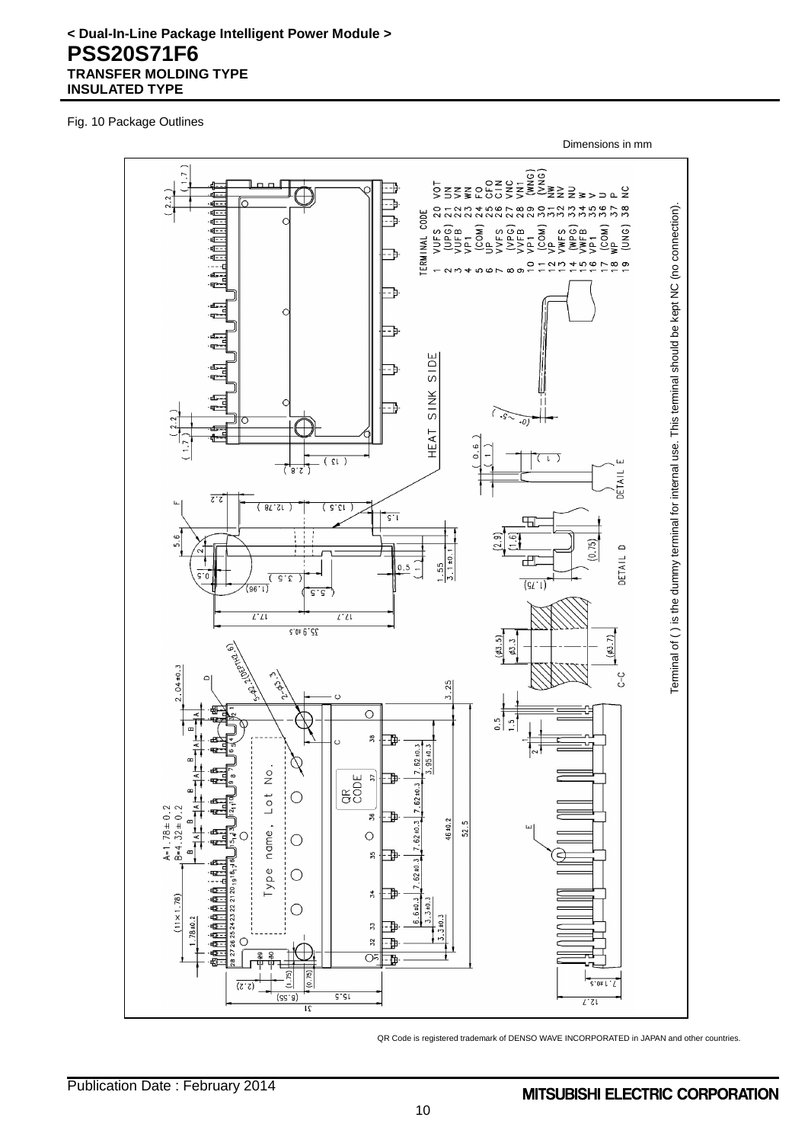# **< Dual-In-Line Package Intelligent Power Module > PSS20S71F6 TRANSFER MOLDING TYPE INSULATED TYPE**

Fig. 10 Package Outlines

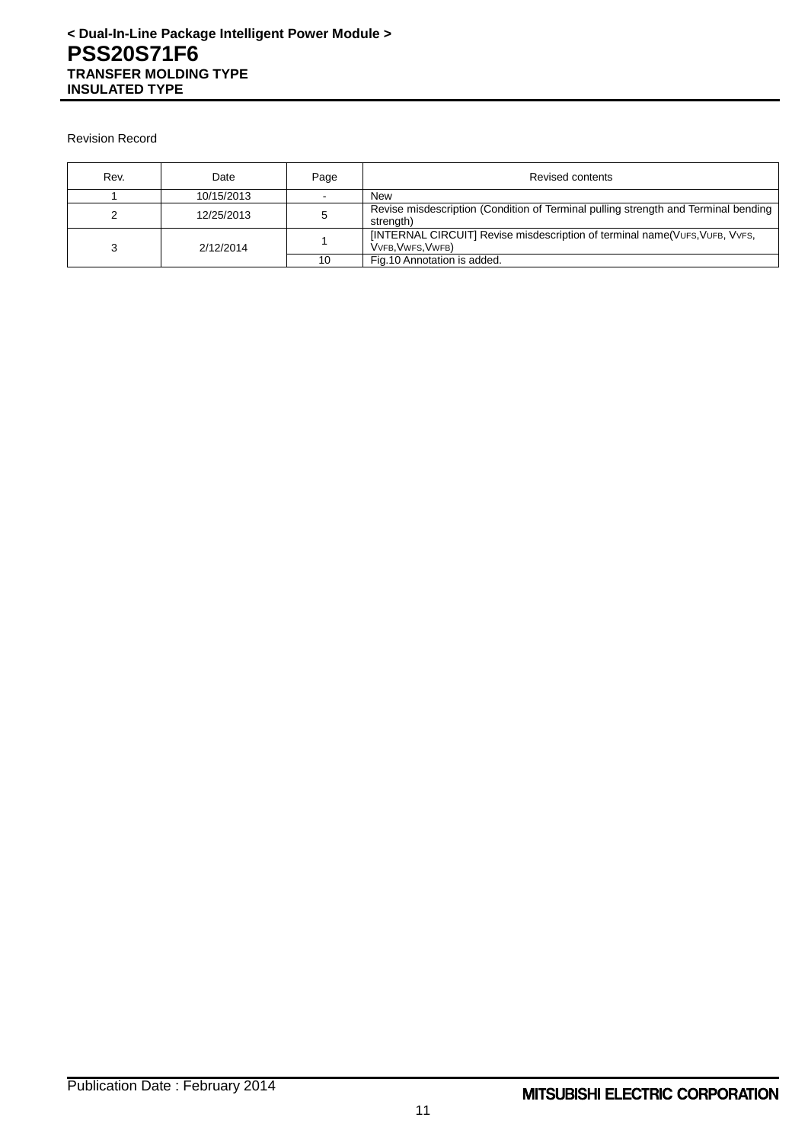Revision Record

| Rev. | Date       | Page | Revised contents                                                                                 |
|------|------------|------|--------------------------------------------------------------------------------------------------|
|      | 10/15/2013 |      | New                                                                                              |
|      | 12/25/2013 |      | Revise misdescription (Condition of Terminal pulling strength and Terminal bending<br>strength)  |
|      | 2/12/2014  |      | [INTERNAL CIRCUIT] Revise misdescription of terminal name(VUFS, VUFB, VVFS,<br>VVFB, VWFS, VWFB) |
|      |            |      | Fig. 10 Annotation is added.                                                                     |